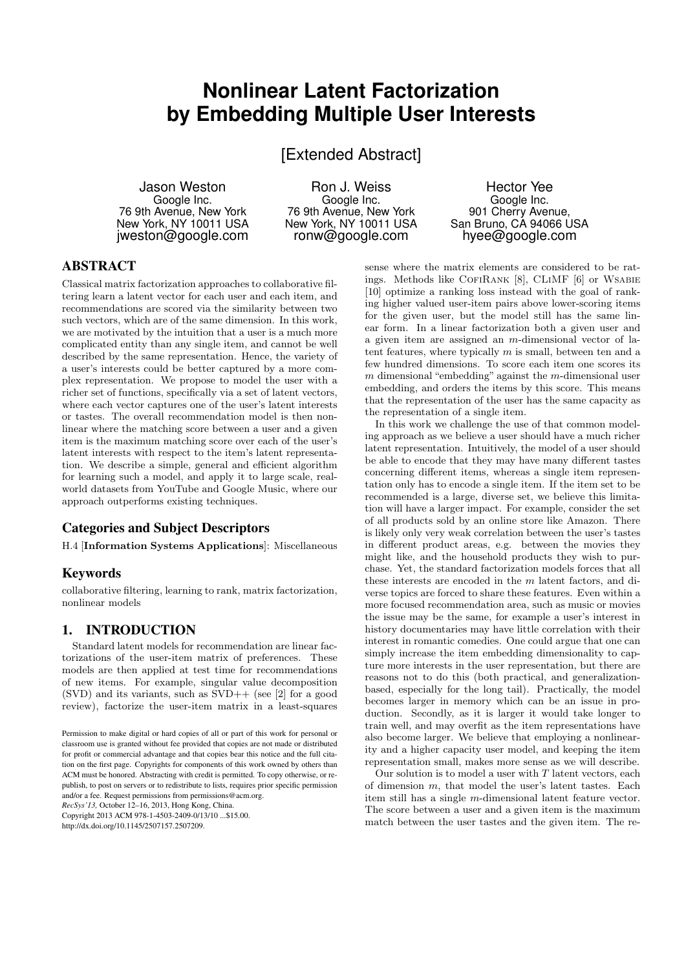# **Nonlinear Latent Factorization by Embedding Multiple User Interests**

[Extended Abstract]

Jason Weston Google Inc. 76 9th Avenue, New York New York, NY 10011 USA jweston@google.com

Ron J. Weiss Google Inc. 76 9th Avenue, New York New York, NY 10011 USA ronw@google.com

Hector Yee Google Inc. 901 Cherry Avenue, San Bruno, CA 94066 USA hyee@google.com

# ABSTRACT

Classical matrix factorization approaches to collaborative filtering learn a latent vector for each user and each item, and recommendations are scored via the similarity between two such vectors, which are of the same dimension. In this work, we are motivated by the intuition that a user is a much more complicated entity than any single item, and cannot be well described by the same representation. Hence, the variety of a user's interests could be better captured by a more complex representation. We propose to model the user with a richer set of functions, specifically via a set of latent vectors, where each vector captures one of the user's latent interests or tastes. The overall recommendation model is then nonlinear where the matching score between a user and a given item is the maximum matching score over each of the user's latent interests with respect to the item's latent representation. We describe a simple, general and efficient algorithm for learning such a model, and apply it to large scale, realworld datasets from YouTube and Google Music, where our approach outperforms existing techniques.

## Categories and Subject Descriptors

H.4 [Information Systems Applications]: Miscellaneous

## Keywords

collaborative filtering, learning to rank, matrix factorization, nonlinear models

## 1. INTRODUCTION

Standard latent models for recommendation are linear factorizations of the user-item matrix of preferences. These models are then applied at test time for recommendations of new items. For example, singular value decomposition  $(SVD)$  and its variants, such as  $SVD++$  (see [2] for a good review), factorize the user-item matrix in a least-squares

*RecSys'13,* October 12–16, 2013, Hong Kong, China.

Copyright 2013 ACM 978-1-4503-2409-0/13/10 ...\$15.00. http://dx.doi.org/10.1145/2507157.2507209.

sense where the matrix elements are considered to be ratings. Methods like COFIRANK [8], CLIMF [6] or WSABIE [10] optimize a ranking loss instead with the goal of ranking higher valued user-item pairs above lower-scoring items for the given user, but the model still has the same linear form. In a linear factorization both a given user and a given item are assigned an m-dimensional vector of latent features, where typically  $m$  is small, between ten and a few hundred dimensions. To score each item one scores its  $m$  dimensional "embedding" against the  $m$ -dimensional user embedding, and orders the items by this score. This means that the representation of the user has the same capacity as the representation of a single item.

In this work we challenge the use of that common modeling approach as we believe a user should have a much richer latent representation. Intuitively, the model of a user should be able to encode that they may have many different tastes concerning different items, whereas a single item representation only has to encode a single item. If the item set to be recommended is a large, diverse set, we believe this limitation will have a larger impact. For example, consider the set of all products sold by an online store like Amazon. There is likely only very weak correlation between the user's tastes in different product areas, e.g. between the movies they might like, and the household products they wish to purchase. Yet, the standard factorization models forces that all these interests are encoded in the m latent factors, and diverse topics are forced to share these features. Even within a more focused recommendation area, such as music or movies the issue may be the same, for example a user's interest in history documentaries may have little correlation with their interest in romantic comedies. One could argue that one can simply increase the item embedding dimensionality to capture more interests in the user representation, but there are reasons not to do this (both practical, and generalizationbased, especially for the long tail). Practically, the model becomes larger in memory which can be an issue in production. Secondly, as it is larger it would take longer to train well, and may overfit as the item representations have also become larger. We believe that employing a nonlinearity and a higher capacity user model, and keeping the item representation small, makes more sense as we will describe.

Our solution is to model a user with  $T$  latent vectors, each of dimension m, that model the user's latent tastes. Each item still has a single m-dimensional latent feature vector. The score between a user and a given item is the maximum match between the user tastes and the given item. The re-

Permission to make digital or hard copies of all or part of this work for personal or classroom use is granted without fee provided that copies are not made or distributed for profit or commercial advantage and that copies bear this notice and the full citation on the first page. Copyrights for components of this work owned by others than ACM must be honored. Abstracting with credit is permitted. To copy otherwise, or republish, to post on servers or to redistribute to lists, requires prior specific permission and/or a fee. Request permissions from permissions@acm.org.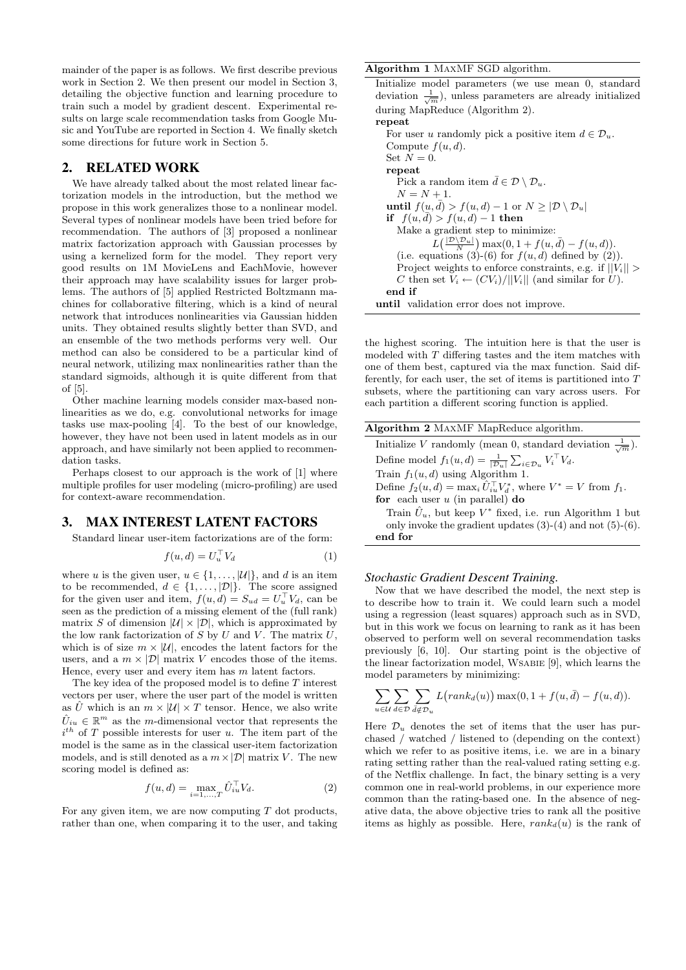mainder of the paper is as follows. We first describe previous work in Section 2. We then present our model in Section 3, detailing the objective function and learning procedure to train such a model by gradient descent. Experimental results on large scale recommendation tasks from Google Music and YouTube are reported in Section 4. We finally sketch some directions for future work in Section 5.

### 2. RELATED WORK

We have already talked about the most related linear factorization models in the introduction, but the method we propose in this work generalizes those to a nonlinear model. Several types of nonlinear models have been tried before for recommendation. The authors of [3] proposed a nonlinear matrix factorization approach with Gaussian processes by using a kernelized form for the model. They report very good results on 1M MovieLens and EachMovie, however their approach may have scalability issues for larger problems. The authors of [5] applied Restricted Boltzmann machines for collaborative filtering, which is a kind of neural network that introduces nonlinearities via Gaussian hidden units. They obtained results slightly better than SVD, and an ensemble of the two methods performs very well. Our method can also be considered to be a particular kind of neural network, utilizing max nonlinearities rather than the standard sigmoids, although it is quite different from that of [5].

Other machine learning models consider max-based nonlinearities as we do, e.g. convolutional networks for image tasks use max-pooling [4]. To the best of our knowledge, however, they have not been used in latent models as in our approach, and have similarly not been applied to recommendation tasks.

Perhaps closest to our approach is the work of [1] where multiple profiles for user modeling (micro-profiling) are used for context-aware recommendation.

## 3. MAX INTEREST LATENT FACTORS

Standard linear user-item factorizations are of the form:

$$
f(u, d) = U_u^{\top} V_d \tag{1}
$$

where u is the given user,  $u \in \{1, \ldots, |\mathcal{U}|\}$ , and d is an item to be recommended,  $d \in \{1, \ldots, |\mathcal{D}|\}$ . The score assigned for the given user and item,  $f(u, d) = S_{ud} = U_u^{\top} V_d$ , can be seen as the prediction of a missing element of the (full rank) matrix S of dimension  $|\mathcal{U}| \times |\mathcal{D}|$ , which is approximated by the low rank factorization of  $S$  by  $U$  and  $V$ . The matrix  $U$ , which is of size  $m \times |\mathcal{U}|$ , encodes the latent factors for the users, and a  $m \times |\mathcal{D}|$  matrix V encodes those of the items. Hence, every user and every item has  $m$  latent factors.

The key idea of the proposed model is to define T interest vectors per user, where the user part of the model is written as  $\hat{U}$  which is an  $m \times |\mathcal{U}| \times T$  tensor. Hence, we also write  $\hat{U}_{iu} \in \mathbb{R}^m$  as the *m*-dimensional vector that represents the  $i<sup>th</sup>$  of T possible interests for user u. The item part of the model is the same as in the classical user-item factorization models, and is still denoted as a  $m \times |\mathcal{D}|$  matrix V. The new scoring model is defined as:

$$
f(u, d) = \max_{i=1,\dots,T} \hat{U}_{iu}^{\top} V_d.
$$
 (2)

For any given item, we are now computing  $T$  dot products, rather than one, when comparing it to the user, and taking

#### Algorithm 1 MaxMF SGD algorithm.

Initialize model parameters (we use mean 0, standard deviation  $\frac{1}{\sqrt{m}}$ , unless parameters are already initialized during MapReduce (Algorithm 2).

#### repeat

For user u randomly pick a positive item  $d \in \mathcal{D}_u$ . Compute  $f(u, d)$ . Set  $N = 0$ . repeat Pick a random item  $\bar{d} \in \mathcal{D} \setminus \mathcal{D}_u$ .  $N = N + 1.$ **until**  $f(u, \bar{d}) > f(u, d) - 1$  or  $N ≥ |\mathcal{D} \setminus \mathcal{D}_u|$ if  $f(u, \bar{d}) > f(u, d) - 1$  then Make a gradient step to minimize:  $L\left(\frac{|\mathcal{D}\setminus\mathcal{D}_u|}{N}\right) \max(0, 1 + f(u, \bar{d}) - f(u, d)).$ (i.e. equations (3)-(6) for  $f(u, d)$  defined by (2)). Project weights to enforce constraints, e.g. if  $||V_i||$ C then set  $V_i \leftarrow (CV_i)/||V_i||$  (and similar for U). end if until validation error does not improve.

the highest scoring. The intuition here is that the user is modeled with  $T$  differing tastes and the item matches with one of them best, captured via the max function. Said differently, for each user, the set of items is partitioned into T subsets, where the partitioning can vary across users. For each partition a different scoring function is applied.

| <b>Algorithm 2</b> MAXMF MapReduce algorithm.                                                    |
|--------------------------------------------------------------------------------------------------|
| Initialize V randomly (mean 0, standard deviation $\frac{1}{\sqrt{m}}$ ).                        |
| Define model $f_1(u, d) = \frac{1}{ \mathcal{D}_u } \sum_{i \in \mathcal{D}_u} V_i^{\top} V_d$ . |
| Train $f_1(u, d)$ using Algorithm 1.                                                             |
| Define $f_2(u, d) = \max_i \hat{U}_{iu}^\top V_d^*$ , where $V^* = V$ from $f_1$ .               |
| for each user $u$ (in parallel) do                                                               |
| Train $\hat{U}_u$ , but keep $V^*$ fixed, i.e. run Algorithm 1 but                               |
| only invoke the gradient updates $(3)-(4)$ and not $(5)-(6)$ .                                   |
| end for                                                                                          |

#### *Stochastic Gradient Descent Training.*

Now that we have described the model, the next step is to describe how to train it. We could learn such a model using a regression (least squares) approach such as in SVD, but in this work we focus on learning to rank as it has been observed to perform well on several recommendation tasks previously [6, 10]. Our starting point is the objective of the linear factorization model, Wsabie [9], which learns the model parameters by minimizing:

$$
\sum_{u \in \mathcal{U}} \sum_{d \in \mathcal{D}} \sum_{\bar{d} \notin \mathcal{D}_u} L\big( rank_d(u)\big) \max(0, 1 + f(u, \bar{d}) - f(u, d)).
$$

Here  $\mathcal{D}_u$  denotes the set of items that the user has purchased / watched / listened to (depending on the context) which we refer to as positive items, i.e. we are in a binary rating setting rather than the real-valued rating setting e.g. of the Netflix challenge. In fact, the binary setting is a very common one in real-world problems, in our experience more common than the rating-based one. In the absence of negative data, the above objective tries to rank all the positive items as highly as possible. Here,  $rank_d(u)$  is the rank of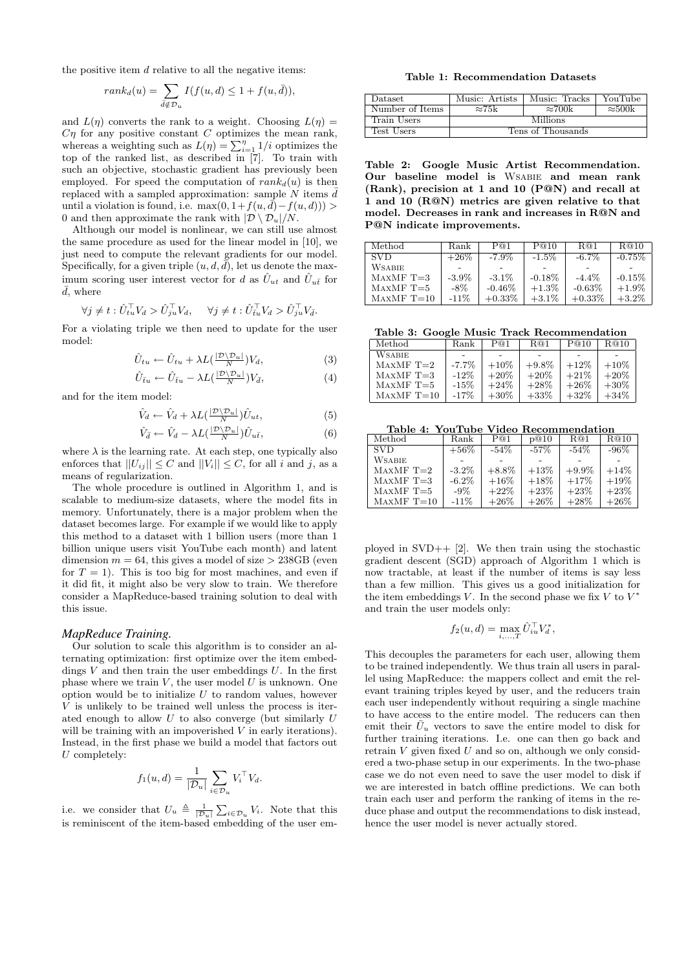the positive item  $d$  relative to all the negative items:

$$
rank_d(u) = \sum_{\bar{d} \notin \mathcal{D}_u} I(f(u, d) \le 1 + f(u, \bar{d})),
$$

and  $L(\eta)$  converts the rank to a weight. Choosing  $L(\eta)$  =  $C\eta$  for any positive constant C optimizes the mean rank, whereas a weighting such as  $L(\eta) = \sum_{i=1}^{\eta} 1/i$  optimizes the top of the ranked list, as described in [7]. To train with such an objective, stochastic gradient has previously been employed. For speed the computation of  $rank_d(u)$  is then replaced with a sampled approximation: sample N items  $\bar{d}$ until a violation is found, i.e. max $(0, 1+f(u, \bar{d})-f(u, d))) >$ 0 and then approximate the rank with  $|\mathcal{D} \setminus \mathcal{D}_u|/N$ .

Although our model is nonlinear, we can still use almost the same procedure as used for the linear model in [10], we just need to compute the relevant gradients for our model. Specifically, for a given triple  $(u, d, \bar{d})$ , let us denote the maximum scoring user interest vector for d as  $\hat{U}_{ut}$  and  $\hat{U}_{u\bar{t}}$  for  $\bar{d}$ , where

$$
\forall j \neq t : \hat{U}_{tu}^{\top} V_d > \hat{U}_{ju}^{\top} V_d, \quad \forall j \neq t : \hat{U}_{tu}^{\top} V_d > \hat{U}_{ju}^{\top} V_{\bar{d}}.
$$

For a violating triple we then need to update for the user model:

$$
\hat{U}_{tu} \leftarrow \hat{U}_{tu} + \lambda L(\frac{|\mathcal{D} \backslash \mathcal{D}_u|}{N})V_d,\tag{3}
$$

$$
\hat{U}_{\bar{t}u} \leftarrow \hat{U}_{\bar{t}u} - \lambda L(\frac{|\mathcal{D}\backslash \mathcal{D}_u|}{N})V_{\bar{d}},\tag{4}
$$

and for the item model:

$$
\hat{V}_d \leftarrow \hat{V}_d + \lambda L\left(\frac{|\mathcal{D}\backslash \mathcal{D}_u|}{N}\right) \hat{U}_{ut},\tag{5}
$$

$$
\hat{V}_{\bar{d}} \leftarrow \hat{V}_d - \lambda L \left(\frac{|\mathcal{D}\backslash \mathcal{D}_u|}{N}\right) \hat{U}_{u\bar{t}},\tag{6}
$$

where  $\lambda$  is the learning rate. At each step, one typically also enforces that  $||U_{ij}|| \leq C$  and  $||V_i|| \leq C$ , for all i and j, as a means of regularization.

The whole procedure is outlined in Algorithm 1, and is scalable to medium-size datasets, where the model fits in memory. Unfortunately, there is a major problem when the dataset becomes large. For example if we would like to apply this method to a dataset with 1 billion users (more than 1 billion unique users visit YouTube each month) and latent dimension  $m = 64$ , this gives a model of size  $> 238 \text{GB}$  (even for  $T = 1$ ). This is too big for most machines, and even if it did fit, it might also be very slow to train. We therefore consider a MapReduce-based training solution to deal with this issue.

#### *MapReduce Training.*

Our solution to scale this algorithm is to consider an alternating optimization: first optimize over the item embeddings  $V$  and then train the user embeddings  $U$ . In the first phase where we train  $V$ , the user model  $U$  is unknown. One option would be to initialize  $U$  to random values, however V is unlikely to be trained well unless the process is iterated enough to allow  $U$  to also converge (but similarly  $U$ will be training with an impoverished V in early iterations). Instead, in the first phase we build a model that factors out U completely:

$$
f_1(u,d) = \frac{1}{|\mathcal{D}_u|} \sum_{i \in \mathcal{D}_u} V_i^{\top} V_d.
$$

i.e. we consider that  $U_u \triangleq \frac{1}{|\mathcal{D}_u|} \sum_{i \in \mathcal{D}_u} V_i$ . Note that this is reminiscent of the item-based embedding of the user em-

Table 1: Recommendation Datasets

| <b>Dataset</b>  | Music: Artists        | Music: Tracks  | YouTube        |  |  |
|-----------------|-----------------------|----------------|----------------|--|--|
| Number of Items | $\approx75\mathrm{k}$ | $\approx 700k$ | $\approx 500k$ |  |  |
| Train Users     | Millions              |                |                |  |  |
| Test Users      | Tens of Thousands     |                |                |  |  |

Table 2: Google Music Artist Recommendation. Our baseline model is WSABIE and mean rank (Rank), precision at 1 and 10 (P@N) and recall at 1 and 10 (R@N) metrics are given relative to that model. Decreases in rank and increases in R@N and P@N indicate improvements.

| Method        | Rank     | P@1       | P@10     | R@1       | R@10      |
|---------------|----------|-----------|----------|-----------|-----------|
| -SVD          | $+26\%$  | $-7.9\%$  | $-1.5\%$ | $-6.7\%$  | $-0.75\%$ |
| <b>WSABIE</b> |          |           |          |           |           |
| $MaxMF$ T=3   | $-3.9\%$ | $-3.1\%$  | $-0.18%$ | $-4.4\%$  | $-0.15%$  |
| $MaxMF$ T=5   | $-8\%$   | $-0.46%$  | $+1.3%$  | $-0.63%$  | $+1.9%$   |
| $MaxMF$ T=10  | $-11\%$  | $+0.33\%$ | $+3.1\%$ | $+0.33\%$ | $+3.2\%$  |

Table 3: Google Music Track Recommendation

| Method        | Rank     | P@1     | R@1      | P@10    | R.@10   |
|---------------|----------|---------|----------|---------|---------|
| <b>WSABIE</b> |          |         |          |         |         |
| $MaxMF$ T=2   | $-7.7\%$ | $+10%$  | $+9.8\%$ | $+12%$  | $+10\%$ |
| MAXMF $T=3$   | $-12%$   | $+20%$  | $+20%$   | $+21\%$ | $+20%$  |
| $MaxMF$ T=5   | $-15%$   | $+24\%$ | $+28\%$  | $+26\%$ | $+30\%$ |
| $MaxMF$ T=10  | $-17%$   | $+30\%$ | $+33%$   | $+32\%$ | $+34\%$ |

Table 4: YouTube Video Recommendation

| Method       | Rank     | P@1      | p@10    | R@1      | R@10    |
|--------------|----------|----------|---------|----------|---------|
| <b>SVD</b>   | $+56%$   | $-54\%$  | $-57\%$ | $-54\%$  | $-96\%$ |
| WSABIE       |          |          |         |          |         |
| $MaxMF$ T=2  | $-3.2\%$ | $+8.8\%$ | $+13%$  | $+9.9\%$ | $+14%$  |
| $MaxMF$ T=3  | $-6.2\%$ | $+16\%$  | $+18%$  | $+17%$   | $+19%$  |
| $MaxMF$ T=5  | $-9\%$   | $+22\%$  | $+23%$  | $+23%$   | $+23\%$ |
| $MaxMF$ T=10 | $-11%$   | $+26\%$  | $+26\%$ | $+28%$   | $+26\%$ |

ployed in  $SVD++$  [2]. We then train using the stochastic gradient descent (SGD) approach of Algorithm 1 which is now tractable, at least if the number of items is say less than a few million. This gives us a good initialization for the item embeddings  $V$ . In the second phase we fix  $V$  to  $V^*$ and train the user models only:

$$
f_2(u,d) = \max_{i,\ldots,T} \hat{U}_{iu}^\top V_d^*,
$$

This decouples the parameters for each user, allowing them to be trained independently. We thus train all users in parallel using MapReduce: the mappers collect and emit the relevant training triples keyed by user, and the reducers train each user independently without requiring a single machine to have access to the entire model. The reducers can then emit their  $\bar{U}_u$  vectors to save the entire model to disk for further training iterations. I.e. one can then go back and retrain  $V$  given fixed  $U$  and so on, although we only considered a two-phase setup in our experiments. In the two-phase case we do not even need to save the user model to disk if we are interested in batch offline predictions. We can both train each user and perform the ranking of items in the reduce phase and output the recommendations to disk instead, hence the user model is never actually stored.